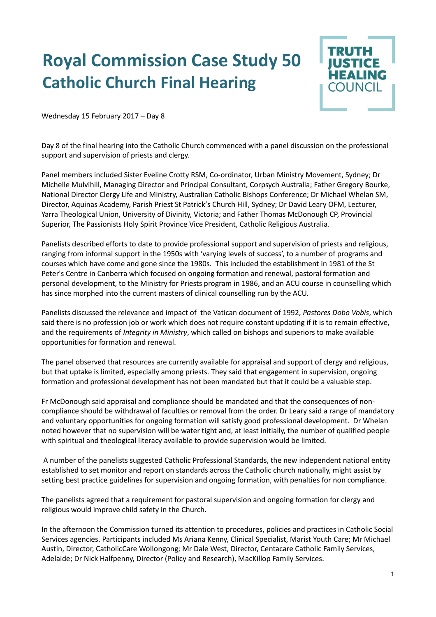## **Royal Commission Case Study 50 Catholic Church Final Hearing**



Wednesday 15 February 2017 – Day 8

Day 8 of the final hearing into the Catholic Church commenced with a panel discussion on the professional support and supervision of priests and clergy.

Panel members included Sister Eveline Crotty RSM, Co-ordinator, Urban Ministry Movement, Sydney; Dr Michelle Mulvihill, Managing Director and Principal Consultant, Corpsych Australia; Father Gregory Bourke, National Director Clergy Life and Ministry, Australian Catholic Bishops Conference; Dr Michael Whelan SM, Director, Aquinas Academy, Parish Priest St Patrick's Church Hill, Sydney; Dr David Leary OFM, Lecturer, Yarra Theological Union, University of Divinity, Victoria; and Father Thomas McDonough CP, Provincial Superior, The Passionists Holy Spirit Province Vice President, Catholic Religious Australia.

Panelists described efforts to date to provide professional support and supervision of priests and religious, ranging from informal support in the 1950s with 'varying levels of success', to a number of programs and courses which have come and gone since the 1980s. This included the establishment in 1981 of the St Peter's Centre in Canberra which focused on ongoing formation and renewal, pastoral formation and personal development, to the Ministry for Priests program in 1986, and an ACU course in counselling which has since morphed into the current masters of clinical counselling run by the ACU.

Panelists discussed the relevance and impact of the Vatican document of 1992, *Pastores Dobo Vobis*, which said there is no profession job or work which does not require constant updating if it is to remain effective, and the requirements of *Integrity in Ministry*, which called on bishops and superiors to make available opportunities for formation and renewal.

The panel observed that resources are currently available for appraisal and support of clergy and religious, but that uptake is limited, especially among priests. They said that engagement in supervision, ongoing formation and professional development has not been mandated but that it could be a valuable step.

Fr McDonough said appraisal and compliance should be mandated and that the consequences of noncompliance should be withdrawal of faculties or removal from the order. Dr Leary said a range of mandatory and voluntary opportunities for ongoing formation will satisfy good professional development. Dr Whelan noted however that no supervision will be water tight and, at least initially, the number of qualified people with spiritual and theological literacy available to provide supervision would be limited.

A number of the panelists suggested Catholic Professional Standards, the new independent national entity established to set monitor and report on standards across the Catholic church nationally, might assist by setting best practice guidelines for supervision and ongoing formation, with penalties for non compliance.

The panelists agreed that a requirement for pastoral supervision and ongoing formation for clergy and religious would improve child safety in the Church.

In the afternoon the Commission turned its attention to procedures, policies and practices in Catholic Social Services agencies. Participants included Ms Ariana Kenny, Clinical Specialist, Marist Youth Care; Mr Michael Austin, Director, CatholicCare Wollongong; Mr Dale West, Director, Centacare Catholic Family Services, Adelaide; Dr Nick Halfpenny, Director (Policy and Research), MacKillop Family Services.